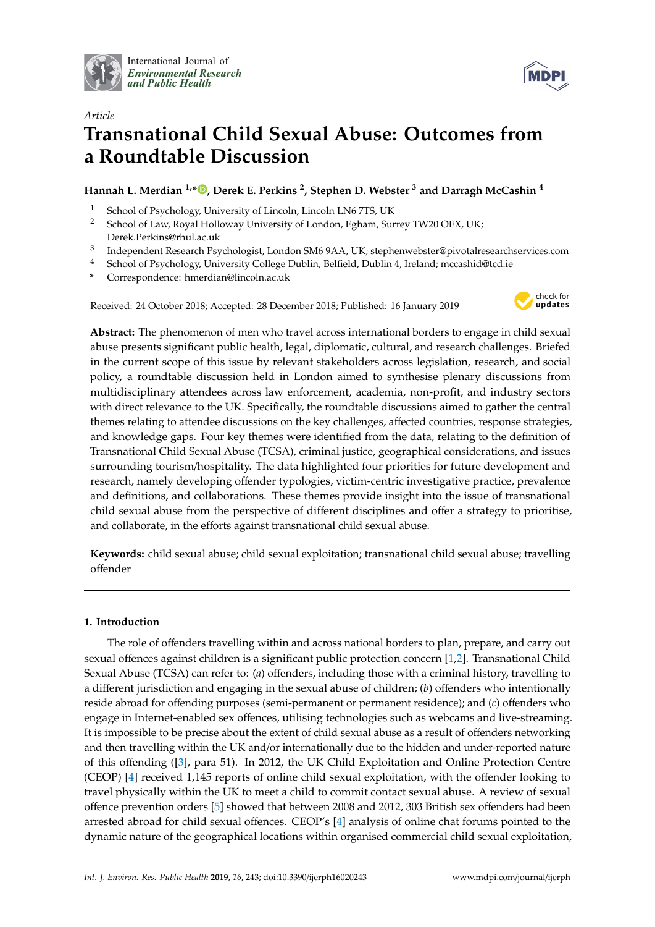

International Journal of *[Environmental Research](http://www.mdpi.com/journal/ijerph) and Public Health*



# *Article* **Transnational Child Sexual Abuse: Outcomes from a Roundtable Discussion**

## **Hannah L. Merdian 1,\* [,](https://orcid.org/0000-0003-2030-7694) Derek E. Perkins <sup>2</sup> , Stephen D. Webster <sup>3</sup> and Darragh McCashin <sup>4</sup>**

- <sup>1</sup> School of Psychology, University of Lincoln, Lincoln LN6 7TS, UK<br><sup>2</sup> School of Law Royal Holloway University of London, Egham Sui
- School of Law, Royal Holloway University of London, Egham, Surrey TW20 OEX, UK; Derek.Perkins@rhul.ac.uk
- 3 Independent Research Psychologist, London SM6 9AA, UK; stephenwebster@pivotalresearchservices.com
- <sup>4</sup> School of Psychology, University College Dublin, Belfield, Dublin 4, Ireland; mccashid@tcd.ie
- **\*** Correspondence: hmerdian@lincoln.ac.uk

Received: 24 October 2018; Accepted: 28 December 2018; Published: 16 January 2019



**Abstract:** The phenomenon of men who travel across international borders to engage in child sexual abuse presents significant public health, legal, diplomatic, cultural, and research challenges. Briefed in the current scope of this issue by relevant stakeholders across legislation, research, and social policy, a roundtable discussion held in London aimed to synthesise plenary discussions from multidisciplinary attendees across law enforcement, academia, non-profit, and industry sectors with direct relevance to the UK. Specifically, the roundtable discussions aimed to gather the central themes relating to attendee discussions on the key challenges, affected countries, response strategies, and knowledge gaps. Four key themes were identified from the data, relating to the definition of Transnational Child Sexual Abuse (TCSA), criminal justice, geographical considerations, and issues surrounding tourism/hospitality. The data highlighted four priorities for future development and research, namely developing offender typologies, victim-centric investigative practice, prevalence and definitions, and collaborations. These themes provide insight into the issue of transnational child sexual abuse from the perspective of different disciplines and offer a strategy to prioritise, and collaborate, in the efforts against transnational child sexual abuse.

**Keywords:** child sexual abuse; child sexual exploitation; transnational child sexual abuse; travelling offender

## **1. Introduction**

The role of offenders travelling within and across national borders to plan, prepare, and carry out sexual offences against children is a significant public protection concern [\[1,](#page-10-0)[2\]](#page-10-1). Transnational Child Sexual Abuse (TCSA) can refer to: (*a*) offenders, including those with a criminal history, travelling to a different jurisdiction and engaging in the sexual abuse of children; (*b*) offenders who intentionally reside abroad for offending purposes (semi-permanent or permanent residence); and (*c*) offenders who engage in Internet-enabled sex offences, utilising technologies such as webcams and live-streaming. It is impossible to be precise about the extent of child sexual abuse as a result of offenders networking and then travelling within the UK and/or internationally due to the hidden and under-reported nature of this offending ([\[3\]](#page-10-2), para 51). In 2012, the UK Child Exploitation and Online Protection Centre (CEOP) [\[4\]](#page-10-3) received 1,145 reports of online child sexual exploitation, with the offender looking to travel physically within the UK to meet a child to commit contact sexual abuse. A review of sexual offence prevention orders [\[5\]](#page-10-4) showed that between 2008 and 2012, 303 British sex offenders had been arrested abroad for child sexual offences. CEOP's [\[4\]](#page-10-3) analysis of online chat forums pointed to the dynamic nature of the geographical locations within organised commercial child sexual exploitation,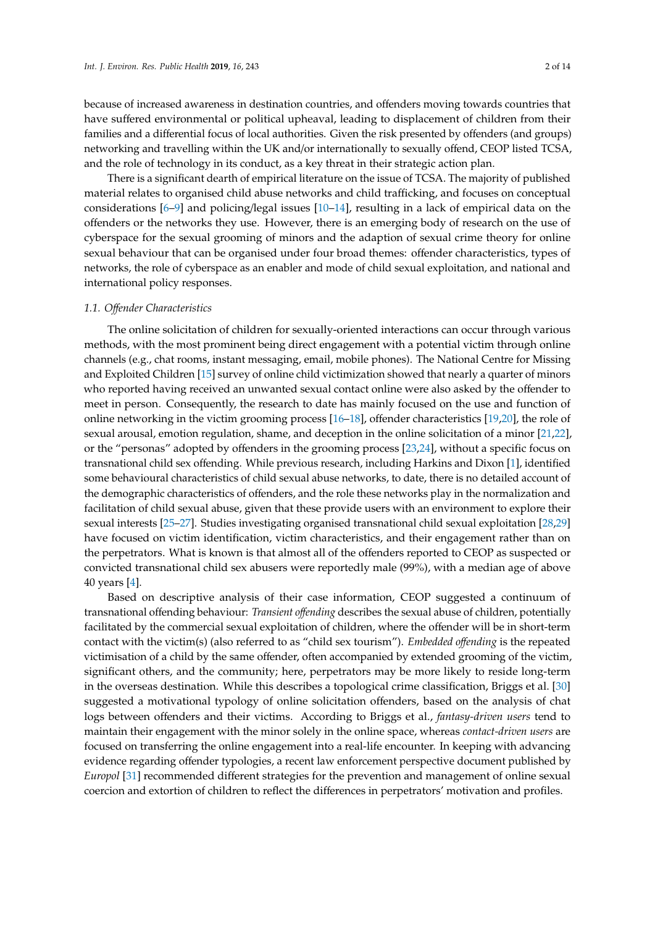because of increased awareness in destination countries, and offenders moving towards countries that have suffered environmental or political upheaval, leading to displacement of children from their families and a differential focus of local authorities. Given the risk presented by offenders (and groups) networking and travelling within the UK and/or internationally to sexually offend, CEOP listed TCSA, and the role of technology in its conduct, as a key threat in their strategic action plan.

There is a significant dearth of empirical literature on the issue of TCSA. The majority of published material relates to organised child abuse networks and child trafficking, and focuses on conceptual considerations [\[6–](#page-10-5)[9\]](#page-10-6) and policing/legal issues [\[10–](#page-10-7)[14\]](#page-11-0), resulting in a lack of empirical data on the offenders or the networks they use. However, there is an emerging body of research on the use of cyberspace for the sexual grooming of minors and the adaption of sexual crime theory for online sexual behaviour that can be organised under four broad themes: offender characteristics, types of networks, the role of cyberspace as an enabler and mode of child sexual exploitation, and national and international policy responses.

## *1.1. O*ff*ender Characteristics*

The online solicitation of children for sexually-oriented interactions can occur through various methods, with the most prominent being direct engagement with a potential victim through online channels (e.g., chat rooms, instant messaging, email, mobile phones). The National Centre for Missing and Exploited Children [\[15\]](#page-11-1) survey of online child victimization showed that nearly a quarter of minors who reported having received an unwanted sexual contact online were also asked by the offender to meet in person. Consequently, the research to date has mainly focused on the use and function of online networking in the victim grooming process [\[16–](#page-11-2)[18\]](#page-11-3), offender characteristics [\[19,](#page-11-4)[20\]](#page-11-5), the role of sexual arousal, emotion regulation, shame, and deception in the online solicitation of a minor [\[21,](#page-11-6)[22\]](#page-11-7), or the "personas" adopted by offenders in the grooming process [\[23](#page-11-8)[,24\]](#page-11-9), without a specific focus on transnational child sex offending. While previous research, including Harkins and Dixon [\[1\]](#page-10-0), identified some behavioural characteristics of child sexual abuse networks, to date, there is no detailed account of the demographic characteristics of offenders, and the role these networks play in the normalization and facilitation of child sexual abuse, given that these provide users with an environment to explore their sexual interests [\[25–](#page-11-10)[27\]](#page-11-11). Studies investigating organised transnational child sexual exploitation [\[28,](#page-11-12)[29\]](#page-11-13) have focused on victim identification, victim characteristics, and their engagement rather than on the perpetrators. What is known is that almost all of the offenders reported to CEOP as suspected or convicted transnational child sex abusers were reportedly male (99%), with a median age of above 40 years [\[4\]](#page-10-3).

Based on descriptive analysis of their case information, CEOP suggested a continuum of transnational offending behaviour: *Transient o*ff*ending* describes the sexual abuse of children, potentially facilitated by the commercial sexual exploitation of children, where the offender will be in short-term contact with the victim(s) (also referred to as "child sex tourism"). *Embedded o*ff*ending* is the repeated victimisation of a child by the same offender, often accompanied by extended grooming of the victim, significant others, and the community; here, perpetrators may be more likely to reside long-term in the overseas destination. While this describes a topological crime classification, Briggs et al. [\[30\]](#page-11-14) suggested a motivational typology of online solicitation offenders, based on the analysis of chat logs between offenders and their victims. According to Briggs et al., *fantasy-driven users* tend to maintain their engagement with the minor solely in the online space, whereas *contact-driven users* are focused on transferring the online engagement into a real-life encounter. In keeping with advancing evidence regarding offender typologies, a recent law enforcement perspective document published by *Europol* [\[31\]](#page-11-15) recommended different strategies for the prevention and management of online sexual coercion and extortion of children to reflect the differences in perpetrators' motivation and profiles.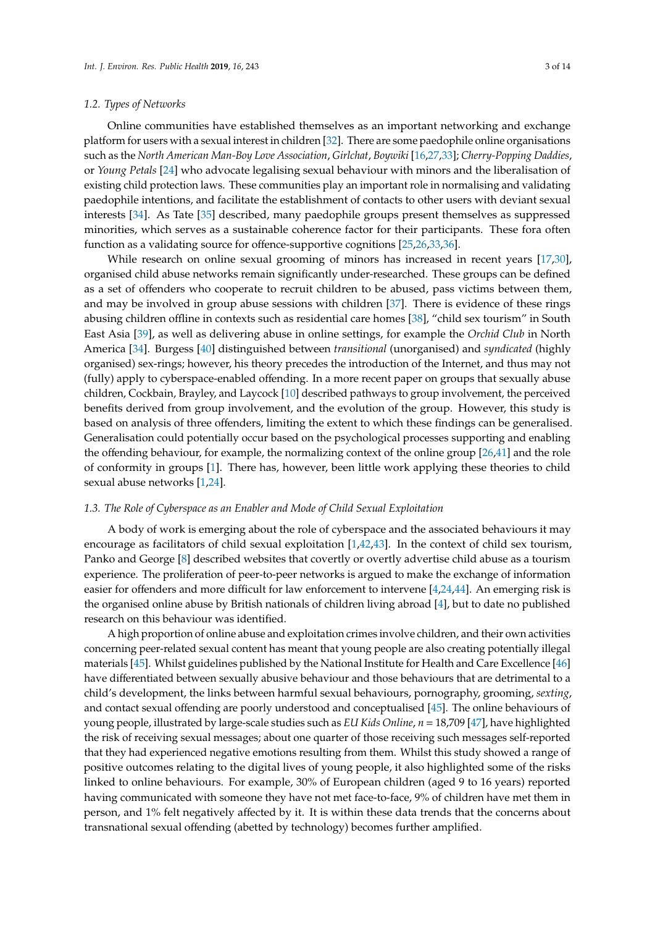## *1.2. Types of Networks*

Online communities have established themselves as an important networking and exchange platform for users with a sexual interest in children [\[32\]](#page-11-16). There are some paedophile online organisations such as the *North American Man-Boy Love Association*, *Girlchat*, *Boywiki* [\[16,](#page-11-2)[27,](#page-11-11)[33\]](#page-11-17); *Cherry-Popping Daddies*, or *Young Petals* [\[24\]](#page-11-9) who advocate legalising sexual behaviour with minors and the liberalisation of existing child protection laws. These communities play an important role in normalising and validating paedophile intentions, and facilitate the establishment of contacts to other users with deviant sexual interests [\[34\]](#page-11-18). As Tate [\[35\]](#page-11-19) described, many paedophile groups present themselves as suppressed minorities, which serves as a sustainable coherence factor for their participants. These fora often function as a validating source for offence-supportive cognitions [\[25,](#page-11-10)[26](#page-11-20)[,33](#page-11-17)[,36\]](#page-11-21).

While research on online sexual grooming of minors has increased in recent years [\[17,](#page-11-22)[30\]](#page-11-14), organised child abuse networks remain significantly under-researched. These groups can be defined as a set of offenders who cooperate to recruit children to be abused, pass victims between them, and may be involved in group abuse sessions with children [\[37\]](#page-12-0). There is evidence of these rings abusing children offline in contexts such as residential care homes [\[38\]](#page-12-1), "child sex tourism" in South East Asia [\[39\]](#page-12-2), as well as delivering abuse in online settings, for example the *Orchid Club* in North America [\[34\]](#page-11-18). Burgess [\[40\]](#page-12-3) distinguished between *transitional* (unorganised) and *syndicated* (highly organised) sex-rings; however, his theory precedes the introduction of the Internet, and thus may not (fully) apply to cyberspace-enabled offending. In a more recent paper on groups that sexually abuse children, Cockbain, Brayley, and Laycock [\[10\]](#page-10-7) described pathways to group involvement, the perceived benefits derived from group involvement, and the evolution of the group. However, this study is based on analysis of three offenders, limiting the extent to which these findings can be generalised. Generalisation could potentially occur based on the psychological processes supporting and enabling the offending behaviour, for example, the normalizing context of the online group [\[26](#page-11-20)[,41\]](#page-12-4) and the role of conformity in groups [\[1\]](#page-10-0). There has, however, been little work applying these theories to child sexual abuse networks [\[1,](#page-10-0)[24\]](#page-11-9).

#### *1.3. The Role of Cyberspace as an Enabler and Mode of Child Sexual Exploitation*

A body of work is emerging about the role of cyberspace and the associated behaviours it may encourage as facilitators of child sexual exploitation [\[1](#page-10-0)[,42,](#page-12-5)[43\]](#page-12-6). In the context of child sex tourism, Panko and George [\[8\]](#page-10-8) described websites that covertly or overtly advertise child abuse as a tourism experience. The proliferation of peer-to-peer networks is argued to make the exchange of information easier for offenders and more difficult for law enforcement to intervene [\[4](#page-10-3)[,24](#page-11-9)[,44\]](#page-12-7). An emerging risk is the organised online abuse by British nationals of children living abroad [\[4\]](#page-10-3), but to date no published research on this behaviour was identified.

A high proportion of online abuse and exploitation crimes involve children, and their own activities concerning peer-related sexual content has meant that young people are also creating potentially illegal materials [\[45\]](#page-12-8). Whilst guidelines published by the National Institute for Health and Care Excellence [\[46\]](#page-12-9) have differentiated between sexually abusive behaviour and those behaviours that are detrimental to a child's development, the links between harmful sexual behaviours, pornography, grooming, *sexting*, and contact sexual offending are poorly understood and conceptualised [\[45\]](#page-12-8). The online behaviours of young people, illustrated by large-scale studies such as *EU Kids Online*, *n* = 18,709 [\[47\]](#page-12-10), have highlighted the risk of receiving sexual messages; about one quarter of those receiving such messages self-reported that they had experienced negative emotions resulting from them. Whilst this study showed a range of positive outcomes relating to the digital lives of young people, it also highlighted some of the risks linked to online behaviours. For example, 30% of European children (aged 9 to 16 years) reported having communicated with someone they have not met face-to-face, 9% of children have met them in person, and 1% felt negatively affected by it. It is within these data trends that the concerns about transnational sexual offending (abetted by technology) becomes further amplified.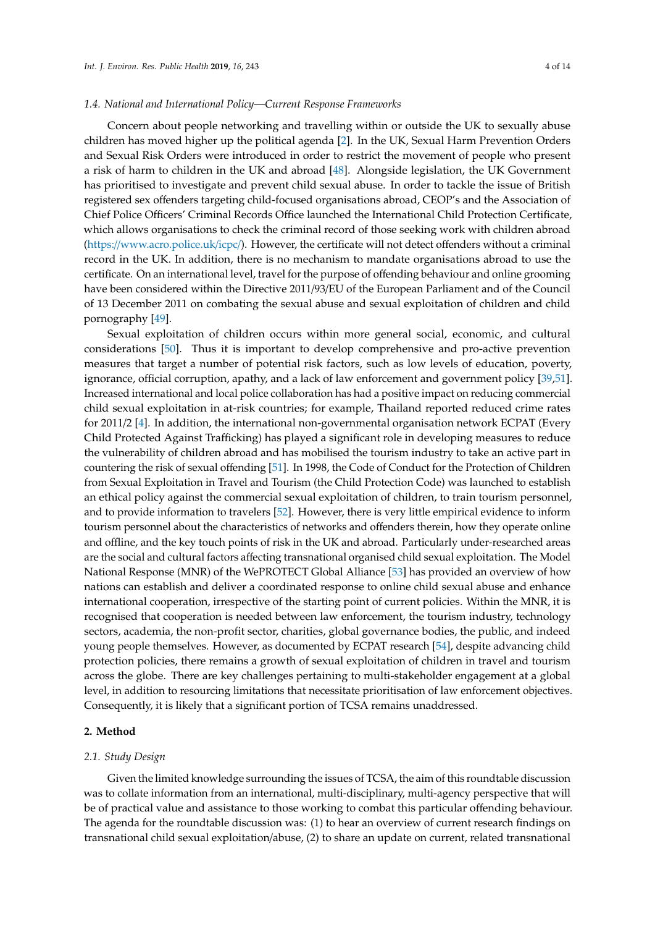## *1.4. National and International Policy—Current Response Frameworks*

Concern about people networking and travelling within or outside the UK to sexually abuse children has moved higher up the political agenda [\[2\]](#page-10-1). In the UK, Sexual Harm Prevention Orders and Sexual Risk Orders were introduced in order to restrict the movement of people who present a risk of harm to children in the UK and abroad [\[48\]](#page-12-11). Alongside legislation, the UK Government has prioritised to investigate and prevent child sexual abuse. In order to tackle the issue of British registered sex offenders targeting child-focused organisations abroad, CEOP's and the Association of Chief Police Officers' Criminal Records Office launched the International Child Protection Certificate, which allows organisations to check the criminal record of those seeking work with children abroad (https://[www.acro.police.uk](https://www.acro.police.uk/icpc/)/icpc/). However, the certificate will not detect offenders without a criminal record in the UK. In addition, there is no mechanism to mandate organisations abroad to use the certificate. On an international level, travel for the purpose of offending behaviour and online grooming have been considered within the Directive 2011/93/EU of the European Parliament and of the Council of 13 December 2011 on combating the sexual abuse and sexual exploitation of children and child pornography [\[49\]](#page-12-12).

Sexual exploitation of children occurs within more general social, economic, and cultural considerations [\[50\]](#page-12-13). Thus it is important to develop comprehensive and pro-active prevention measures that target a number of potential risk factors, such as low levels of education, poverty, ignorance, official corruption, apathy, and a lack of law enforcement and government policy [\[39,](#page-12-2)[51\]](#page-12-14). Increased international and local police collaboration has had a positive impact on reducing commercial child sexual exploitation in at-risk countries; for example, Thailand reported reduced crime rates for 2011/2 [\[4\]](#page-10-3). In addition, the international non-governmental organisation network ECPAT (Every Child Protected Against Trafficking) has played a significant role in developing measures to reduce the vulnerability of children abroad and has mobilised the tourism industry to take an active part in countering the risk of sexual offending [\[51\]](#page-12-14). In 1998, the Code of Conduct for the Protection of Children from Sexual Exploitation in Travel and Tourism (the Child Protection Code) was launched to establish an ethical policy against the commercial sexual exploitation of children, to train tourism personnel, and to provide information to travelers [\[52\]](#page-12-15). However, there is very little empirical evidence to inform tourism personnel about the characteristics of networks and offenders therein, how they operate online and offline, and the key touch points of risk in the UK and abroad. Particularly under-researched areas are the social and cultural factors affecting transnational organised child sexual exploitation. The Model National Response (MNR) of the WePROTECT Global Alliance [\[53\]](#page-12-16) has provided an overview of how nations can establish and deliver a coordinated response to online child sexual abuse and enhance international cooperation, irrespective of the starting point of current policies. Within the MNR, it is recognised that cooperation is needed between law enforcement, the tourism industry, technology sectors, academia, the non-profit sector, charities, global governance bodies, the public, and indeed young people themselves. However, as documented by ECPAT research [\[54\]](#page-12-17), despite advancing child protection policies, there remains a growth of sexual exploitation of children in travel and tourism across the globe. There are key challenges pertaining to multi-stakeholder engagement at a global level, in addition to resourcing limitations that necessitate prioritisation of law enforcement objectives. Consequently, it is likely that a significant portion of TCSA remains unaddressed.

## **2. Method**

## *2.1. Study Design*

Given the limited knowledge surrounding the issues of TCSA, the aim of this roundtable discussion was to collate information from an international, multi-disciplinary, multi-agency perspective that will be of practical value and assistance to those working to combat this particular offending behaviour. The agenda for the roundtable discussion was: (1) to hear an overview of current research findings on transnational child sexual exploitation/abuse, (2) to share an update on current, related transnational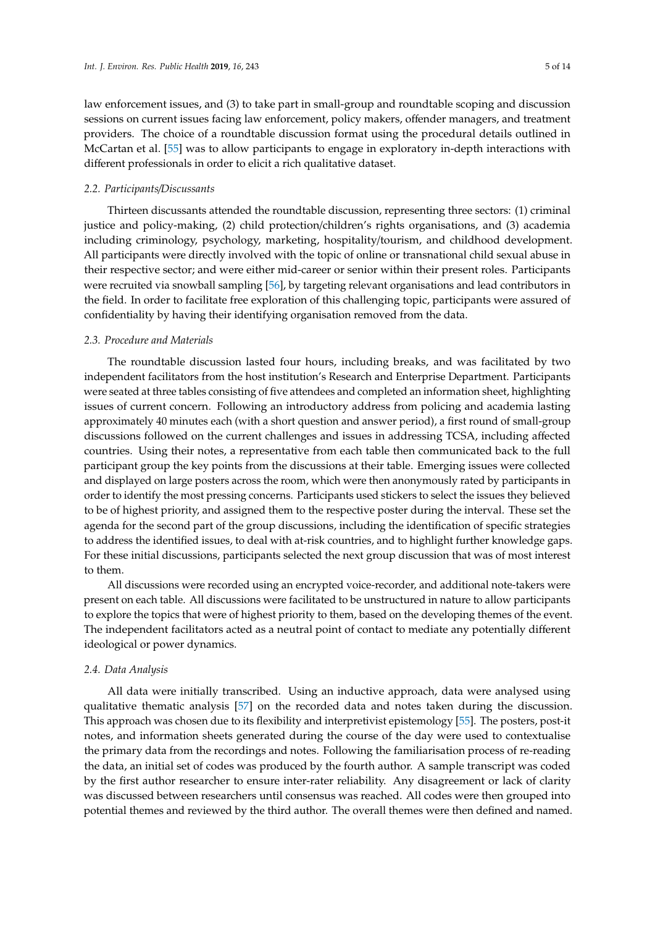law enforcement issues, and (3) to take part in small-group and roundtable scoping and discussion sessions on current issues facing law enforcement, policy makers, offender managers, and treatment providers. The choice of a roundtable discussion format using the procedural details outlined in McCartan et al. [\[55\]](#page-12-18) was to allow participants to engage in exploratory in-depth interactions with different professionals in order to elicit a rich qualitative dataset.

## *2.2. Participants*/*Discussants*

Thirteen discussants attended the roundtable discussion, representing three sectors: (1) criminal justice and policy-making, (2) child protection/children's rights organisations, and (3) academia including criminology, psychology, marketing, hospitality/tourism, and childhood development. All participants were directly involved with the topic of online or transnational child sexual abuse in their respective sector; and were either mid-career or senior within their present roles. Participants were recruited via snowball sampling [\[56\]](#page-12-19), by targeting relevant organisations and lead contributors in the field. In order to facilitate free exploration of this challenging topic, participants were assured of confidentiality by having their identifying organisation removed from the data.

## *2.3. Procedure and Materials*

The roundtable discussion lasted four hours, including breaks, and was facilitated by two independent facilitators from the host institution's Research and Enterprise Department. Participants were seated at three tables consisting of five attendees and completed an information sheet, highlighting issues of current concern. Following an introductory address from policing and academia lasting approximately 40 minutes each (with a short question and answer period), a first round of small-group discussions followed on the current challenges and issues in addressing TCSA, including affected countries. Using their notes, a representative from each table then communicated back to the full participant group the key points from the discussions at their table. Emerging issues were collected and displayed on large posters across the room, which were then anonymously rated by participants in order to identify the most pressing concerns. Participants used stickers to select the issues they believed to be of highest priority, and assigned them to the respective poster during the interval. These set the agenda for the second part of the group discussions, including the identification of specific strategies to address the identified issues, to deal with at-risk countries, and to highlight further knowledge gaps. For these initial discussions, participants selected the next group discussion that was of most interest to them.

All discussions were recorded using an encrypted voice-recorder, and additional note-takers were present on each table. All discussions were facilitated to be unstructured in nature to allow participants to explore the topics that were of highest priority to them, based on the developing themes of the event. The independent facilitators acted as a neutral point of contact to mediate any potentially different ideological or power dynamics.

#### *2.4. Data Analysis*

All data were initially transcribed. Using an inductive approach, data were analysed using qualitative thematic analysis [\[57\]](#page-12-20) on the recorded data and notes taken during the discussion. This approach was chosen due to its flexibility and interpretivist epistemology [\[55\]](#page-12-18). The posters, post-it notes, and information sheets generated during the course of the day were used to contextualise the primary data from the recordings and notes. Following the familiarisation process of re-reading the data, an initial set of codes was produced by the fourth author. A sample transcript was coded by the first author researcher to ensure inter-rater reliability. Any disagreement or lack of clarity was discussed between researchers until consensus was reached. All codes were then grouped into potential themes and reviewed by the third author. The overall themes were then defined and named.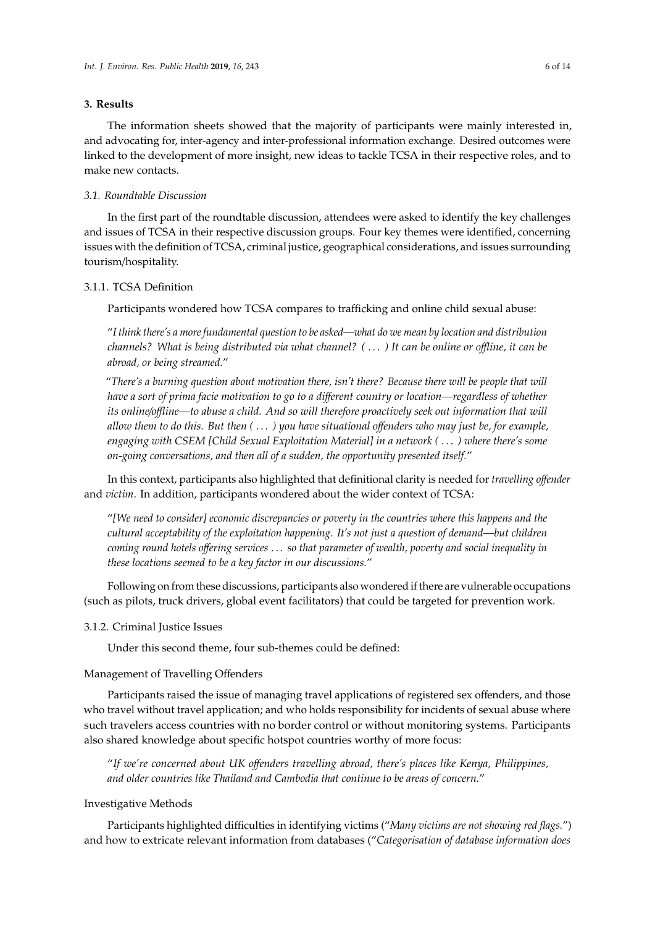## **3. Results**

The information sheets showed that the majority of participants were mainly interested in, and advocating for, inter-agency and inter-professional information exchange. Desired outcomes were linked to the development of more insight, new ideas to tackle TCSA in their respective roles, and to make new contacts.

## *3.1. Roundtable Discussion*

In the first part of the roundtable discussion, attendees were asked to identify the key challenges and issues of TCSA in their respective discussion groups. Four key themes were identified, concerning issues with the definition of TCSA, criminal justice, geographical considerations, and issues surrounding tourism/hospitality.

## 3.1.1. TCSA Definition

Participants wondered how TCSA compares to trafficking and online child sexual abuse:

"*I think there's a more fundamental question to be asked—what do we mean by location and distribution channels? What is being distributed via what channel? (* . . . *) It can be online or o*ffl*ine, it can be abroad, or being streamed.*"

"*There's a burning question about motivation there, isn't there? Because there will be people that will have a sort of prima facie motivation to go to a di*ff*erent country or location—regardless of whether its online*/*o*ffl*ine—to abuse a child. And so will therefore proactively seek out information that will allow them to do this. But then (* . . . *) you have situational o*ff*enders who may just be, for example, engaging with CSEM [Child Sexual Exploitation Material] in a network (* . . . *) where there's some on-going conversations, and then all of a sudden, the opportunity presented itself.*"

In this context, participants also highlighted that definitional clarity is needed for *travelling o*ff*ender* and *victim*. In addition, participants wondered about the wider context of TCSA:

"*[We need to consider] economic discrepancies or poverty in the countries where this happens and the cultural acceptability of the exploitation happening. It's not just a question of demand—but children coming round hotels o*ff*ering services* . . . *so that parameter of wealth, poverty and social inequality in these locations seemed to be a key factor in our discussions.*"

Following on from these discussions, participants also wondered if there are vulnerable occupations (such as pilots, truck drivers, global event facilitators) that could be targeted for prevention work.

## 3.1.2. Criminal Justice Issues

Under this second theme, four sub-themes could be defined:

## Management of Travelling Offenders

Participants raised the issue of managing travel applications of registered sex offenders, and those who travel without travel application; and who holds responsibility for incidents of sexual abuse where such travelers access countries with no border control or without monitoring systems. Participants also shared knowledge about specific hotspot countries worthy of more focus:

"*If we're concerned about UK o*ff*enders travelling abroad, there's places like Kenya, Philippines, and older countries like Thailand and Cambodia that continue to be areas of concern.*"

## Investigative Methods

Participants highlighted difficulties in identifying victims ("*Many victims are not showing red flags.*") and how to extricate relevant information from databases ("*Categorisation of database information does*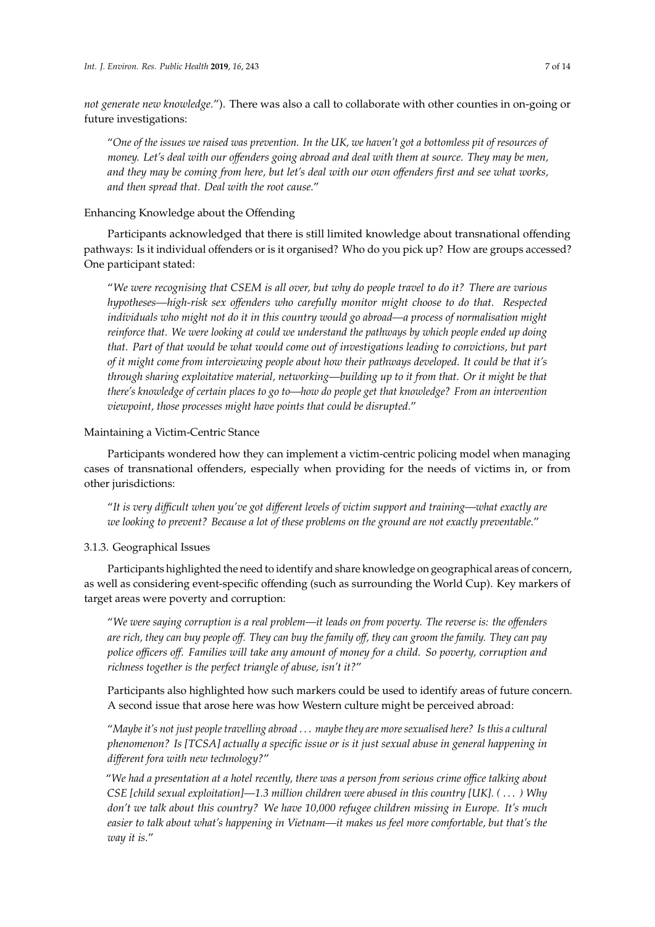*not generate new knowledge.*"). There was also a call to collaborate with other counties in on-going or future investigations:

"*One of the issues we raised was prevention. In the UK, we haven't got a bottomless pit of resources of money. Let's deal with our o*ff*enders going abroad and deal with them at source. They may be men, and they may be coming from here, but let's deal with our own o*ff*enders first and see what works, and then spread that. Deal with the root cause.*"

## Enhancing Knowledge about the Offending

Participants acknowledged that there is still limited knowledge about transnational offending pathways: Is it individual offenders or is it organised? Who do you pick up? How are groups accessed? One participant stated:

"*We were recognising that CSEM is all over, but why do people travel to do it? There are various hypotheses—high-risk sex o*ff*enders who carefully monitor might choose to do that. Respected individuals who might not do it in this country would go abroad—a process of normalisation might reinforce that. We were looking at could we understand the pathways by which people ended up doing that. Part of that would be what would come out of investigations leading to convictions, but part of it might come from interviewing people about how their pathways developed. It could be that it's through sharing exploitative material, networking—building up to it from that. Or it might be that there's knowledge of certain places to go to—how do people get that knowledge? From an intervention viewpoint, those processes might have points that could be disrupted.*"

## Maintaining a Victim-Centric Stance

Participants wondered how they can implement a victim-centric policing model when managing cases of transnational offenders, especially when providing for the needs of victims in, or from other jurisdictions:

"*It is very di*ffi*cult when you've got di*ff*erent levels of victim support and training—what exactly are we looking to prevent? Because a lot of these problems on the ground are not exactly preventable.*"

## 3.1.3. Geographical Issues

Participants highlighted the need to identify and share knowledge on geographical areas of concern, as well as considering event-specific offending (such as surrounding the World Cup). Key markers of target areas were poverty and corruption:

"*We were saying corruption is a real problem—it leads on from poverty. The reverse is: the o*ff*enders are rich, they can buy people o*ff*. They can buy the family o*ff*, they can groom the family. They can pay police o*ffi*cers o*ff*. Families will take any amount of money for a child. So poverty, corruption and richness together is the perfect triangle of abuse, isn't it?*"

Participants also highlighted how such markers could be used to identify areas of future concern. A second issue that arose here was how Western culture might be perceived abroad:

"*Maybe it's not just people travelling abroad* . . . *maybe they are more sexualised here? Is this a cultural phenomenon? Is [TCSA] actually a specific issue or is it just sexual abuse in general happening in di*ff*erent fora with new technology?*"

"*We had a presentation at a hotel recently, there was a person from serious crime o*ffi*ce talking about CSE [child sexual exploitation]—1.3 million children were abused in this country [UK]. (* . . . *) Why don't we talk about this country? We have 10,000 refugee children missing in Europe. It's much easier to talk about what's happening in Vietnam—it makes us feel more comfortable, but that's the way it is.*"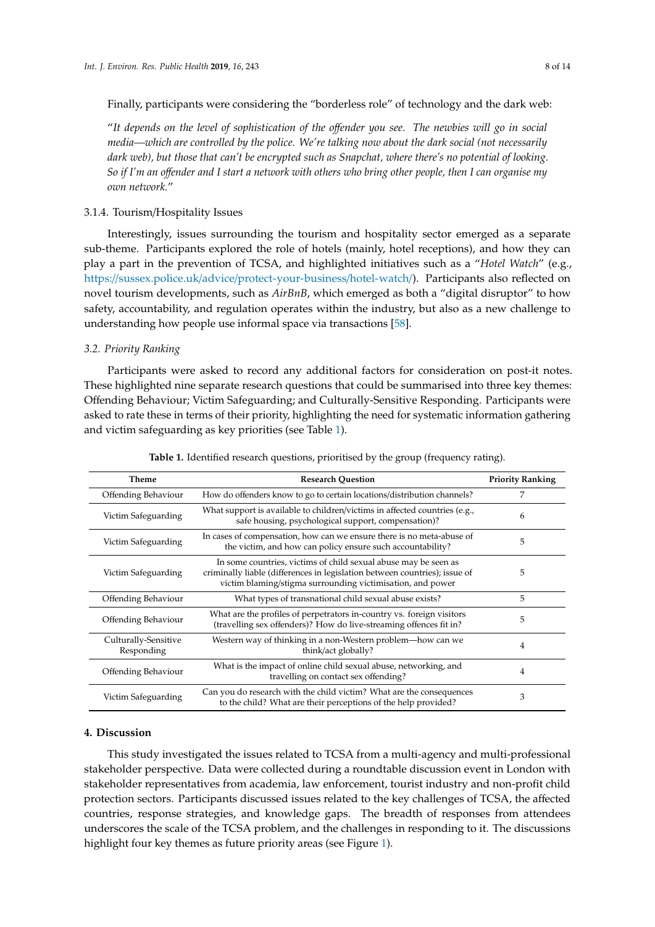Finally, participants were considering the "borderless role" of technology and the dark web:

"*It depends on the level of sophistication of the o*ff*ender you see. The newbies will go in social media—which are controlled by the police. We're talking now about the dark social (not necessarily dark web), but those that can't be encrypted such as Snapchat, where there's no potential of looking. So if I'm an o*ff*ender and I start a network with others who bring other people, then I can organise my own network.*"

## 3.1.4. Tourism/Hospitality Issues

Interestingly, issues surrounding the tourism and hospitality sector emerged as a separate sub-theme. Participants explored the role of hotels (mainly, hotel receptions), and how they can play a part in the prevention of TCSA, and highlighted initiatives such as a "*Hotel Watch*" (e.g., https://sussex.police.uk/advice/[protect-your-business](https://sussex.police.uk/advice/protect-your-business/hotel-watch/)/hotel-watch/). Participants also reflected on novel tourism developments, such as *AirBnB*, which emerged as both a "digital disruptor" to how safety, accountability, and regulation operates within the industry, but also as a new challenge to understanding how people use informal space via transactions [\[58\]](#page-13-0).

#### *3.2. Priority Ranking*

Participants were asked to record any additional factors for consideration on post-it notes. These highlighted nine separate research questions that could be summarised into three key themes: Offending Behaviour; Victim Safeguarding; and Culturally-Sensitive Responding. Participants were asked to rate these in terms of their priority, highlighting the need for systematic information gathering and victim safeguarding as key priorities (see Table [1\)](#page-7-0).

<span id="page-7-0"></span>

| Theme                              | <b>Research Question</b>                                                                                                                                                                                    | <b>Priority Ranking</b> |  |  |  |
|------------------------------------|-------------------------------------------------------------------------------------------------------------------------------------------------------------------------------------------------------------|-------------------------|--|--|--|
| Offending Behaviour                | How do offenders know to go to certain locations/distribution channels?                                                                                                                                     | 7                       |  |  |  |
| Victim Safeguarding                | What support is available to children/victims in affected countries (e.g.,<br>safe housing, psychological support, compensation)?                                                                           | 6                       |  |  |  |
| Victim Safeguarding                | In cases of compensation, how can we ensure there is no meta-abuse of<br>the victim, and how can policy ensure such accountability?                                                                         | 5                       |  |  |  |
| Victim Safeguarding                | In some countries, victims of child sexual abuse may be seen as<br>criminally liable (differences in legislation between countries); issue of<br>victim blaming/stigma surrounding victimisation, and power |                         |  |  |  |
| Offending Behaviour                | What types of transnational child sexual abuse exists?                                                                                                                                                      | 5                       |  |  |  |
| Offending Behaviour                | What are the profiles of perpetrators in-country vs. foreign visitors<br>(travelling sex offenders)? How do live-streaming offences fit in?                                                                 | 5                       |  |  |  |
| Culturally-Sensitive<br>Responding | Western way of thinking in a non-Western problem-how can we<br>think/act globally?                                                                                                                          | 4                       |  |  |  |
| Offending Behaviour                | What is the impact of online child sexual abuse, networking, and<br>travelling on contact sex offending?                                                                                                    | 4                       |  |  |  |
| Victim Safeguarding                | Can you do research with the child victim? What are the consequences<br>to the child? What are their perceptions of the help provided?                                                                      | 3                       |  |  |  |

|  |  |  |  |  |  |  | <b>Table 1.</b> Identified research questions, prioritised by the group (frequency rating) |  |
|--|--|--|--|--|--|--|--------------------------------------------------------------------------------------------|--|
|--|--|--|--|--|--|--|--------------------------------------------------------------------------------------------|--|

#### **4. Discussion**

This study investigated the issues related to TCSA from a multi-agency and multi-professional stakeholder perspective. Data were collected during a roundtable discussion event in London with stakeholder representatives from academia, law enforcement, tourist industry and non-profit child protection sectors. Participants discussed issues related to the key challenges of TCSA, the affected countries, response strategies, and knowledge gaps. The breadth of responses from attendees underscores the scale of the TCSA problem, and the challenges in responding to it. The discussions highlight four key themes as future priority areas (see Figure [1\)](#page-8-0).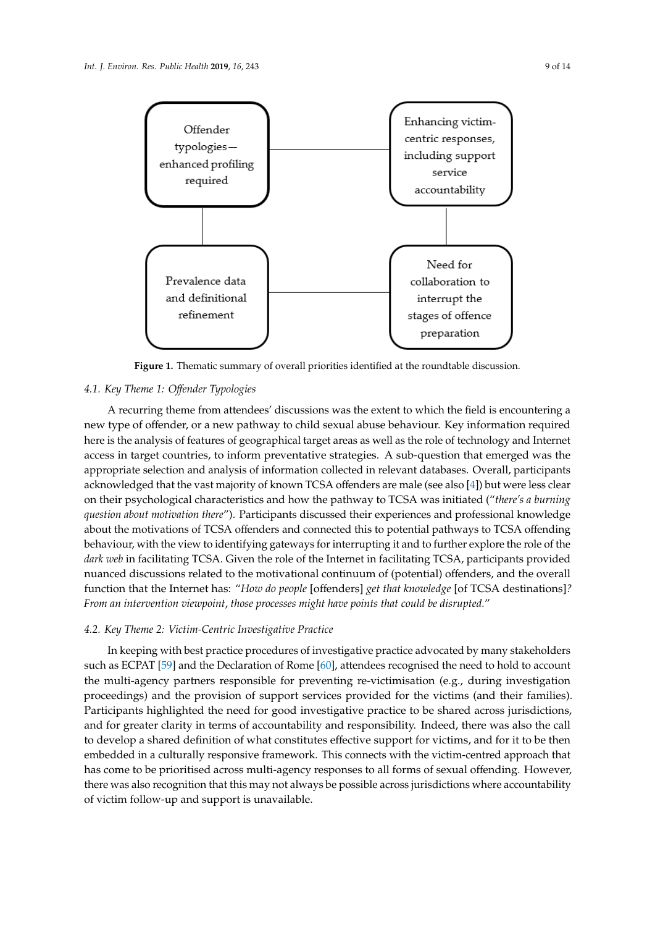<span id="page-8-0"></span>

**Figure 1.** Thematic summary of overall priorities identified at the roundtable discussion. **Figure 1.** Thematic summary of overall priorities identified at the roundtable discussion.

#### *4.1. Key Theme 1: Offender Typologies 4.1. Key Theme 1: O*ff*ender Typologies*

new type of offender, or a new pathway to child sexual abuse behaviour. Key information required here is the analysis of features of geographical target areas as well as the role of technology and Internet access in target countries, to inform preventative strategies. A sub-question that emerged was the appropriate selection and analysis of information collected in relevant databases. Overall, participants acknowledged that the vast majority of known TCSA offenders are male (see also [\[4\]](#page-10-3)) but were less clear on their psychological characteristics and how the pathway to TCSA was initiated ("there's a burning question about motivation there"). Participants discussed their experiences and professional knowledge dout the motivations of TCSA offenders and connected this to potential pathways to TCSA offending behaviour, with the view to identifying gateways for interrupting it and to further explore the role of the dark web in facilitating TCSA. Given the role of the Internet in facilitating TCSA, participants provided nuanced discussions related to the motivational continuum of (potential) offenders, and the overall function that the Internet has: "How do people [offenders] get that knowledge [of TCSA destinations]? From an intervention viewpoint, those processes might have points that could be disrupted." *that knowledge* [of TCSA destinations]*? From an intervention viewpoint*, *those processes might have points*  A recurring theme from attendees' discussions was the extent to which the field is encountering a

## *that could be disrupted.*" *4.2. Key Theme 2: Victim-Centric Investigative Practice*

In keeping with best practice procedures of investigative practice advocated by many stakeholders such as ECPAT [\[59\]](#page-13-1) and the Declaration of Rome [\[60\]](#page-13-2), attendees recognised the need to hold to account the multi-agency partners responsible for preventing re-victimisation (e.g., during investigation proceedings) and the provision of support services provided for the victims (and their families). Participants highlighted the need for good investigative practice to be shared across jurisdictions, and for greater clarity in terms of accountability and responsibility. Indeed, there was also the call to develop a shared definition of what constitutes effective support for victims, and for it to be then embedded in a culturally responsive framework. This connects with the victim-centred approach that has come to be prioritised across multi-agency responses to all forms of sexual offending. However, there was also recognition that this may not always be possible across jurisdictions where accountability of victim follow-up and support is unavailable.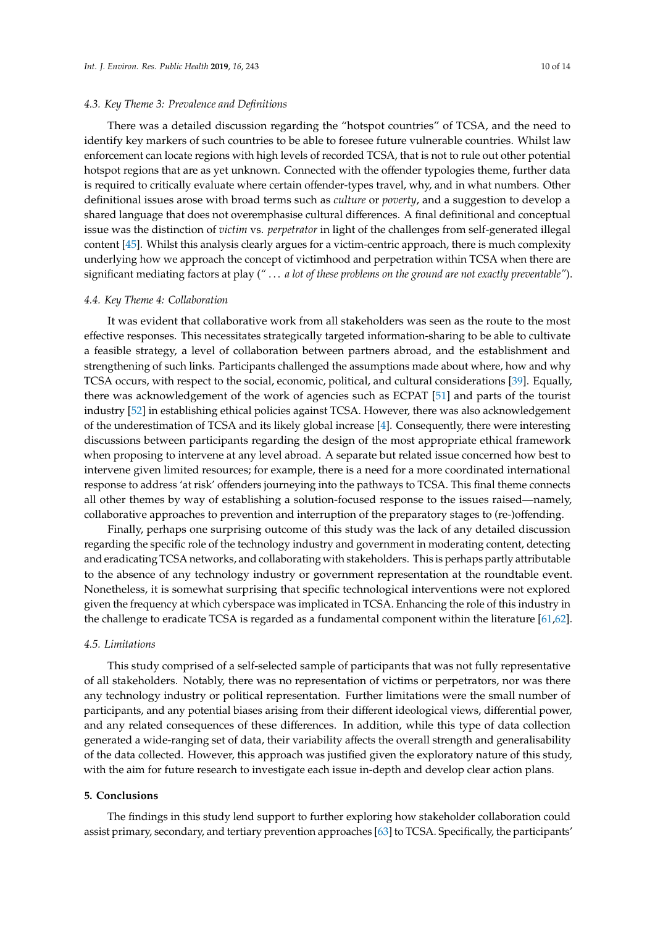## *4.3. Key Theme 3: Prevalence and Definitions*

There was a detailed discussion regarding the "hotspot countries" of TCSA, and the need to identify key markers of such countries to be able to foresee future vulnerable countries. Whilst law enforcement can locate regions with high levels of recorded TCSA, that is not to rule out other potential hotspot regions that are as yet unknown. Connected with the offender typologies theme, further data is required to critically evaluate where certain offender-types travel, why, and in what numbers. Other definitional issues arose with broad terms such as *culture* or *poverty*, and a suggestion to develop a shared language that does not overemphasise cultural differences. A final definitional and conceptual issue was the distinction of *victim* vs. *perpetrator* in light of the challenges from self-generated illegal content [\[45\]](#page-12-8). Whilst this analysis clearly argues for a victim-centric approach, there is much complexity underlying how we approach the concept of victimhood and perpetration within TCSA when there are significant mediating factors at play (*"* . . . *a lot of these problems on the ground are not exactly preventable"*).

## *4.4. Key Theme 4: Collaboration*

It was evident that collaborative work from all stakeholders was seen as the route to the most effective responses. This necessitates strategically targeted information-sharing to be able to cultivate a feasible strategy, a level of collaboration between partners abroad, and the establishment and strengthening of such links. Participants challenged the assumptions made about where, how and why TCSA occurs, with respect to the social, economic, political, and cultural considerations [\[39\]](#page-12-2). Equally, there was acknowledgement of the work of agencies such as ECPAT [\[51\]](#page-12-14) and parts of the tourist industry [\[52\]](#page-12-15) in establishing ethical policies against TCSA. However, there was also acknowledgement of the underestimation of TCSA and its likely global increase [\[4\]](#page-10-3). Consequently, there were interesting discussions between participants regarding the design of the most appropriate ethical framework when proposing to intervene at any level abroad. A separate but related issue concerned how best to intervene given limited resources; for example, there is a need for a more coordinated international response to address 'at risk' offenders journeying into the pathways to TCSA. This final theme connects all other themes by way of establishing a solution-focused response to the issues raised—namely, collaborative approaches to prevention and interruption of the preparatory stages to (re-)offending.

Finally, perhaps one surprising outcome of this study was the lack of any detailed discussion regarding the specific role of the technology industry and government in moderating content, detecting and eradicating TCSA networks, and collaborating with stakeholders. This is perhaps partly attributable to the absence of any technology industry or government representation at the roundtable event. Nonetheless, it is somewhat surprising that specific technological interventions were not explored given the frequency at which cyberspace was implicated in TCSA. Enhancing the role of this industry in the challenge to eradicate TCSA is regarded as a fundamental component within the literature [\[61,](#page-13-3)[62\]](#page-13-4).

## *4.5. Limitations*

This study comprised of a self-selected sample of participants that was not fully representative of all stakeholders. Notably, there was no representation of victims or perpetrators, nor was there any technology industry or political representation. Further limitations were the small number of participants, and any potential biases arising from their different ideological views, differential power, and any related consequences of these differences. In addition, while this type of data collection generated a wide-ranging set of data, their variability affects the overall strength and generalisability of the data collected. However, this approach was justified given the exploratory nature of this study, with the aim for future research to investigate each issue in-depth and develop clear action plans.

### **5. Conclusions**

The findings in this study lend support to further exploring how stakeholder collaboration could assist primary, secondary, and tertiary prevention approaches [\[63\]](#page-13-5) to TCSA. Specifically, the participants'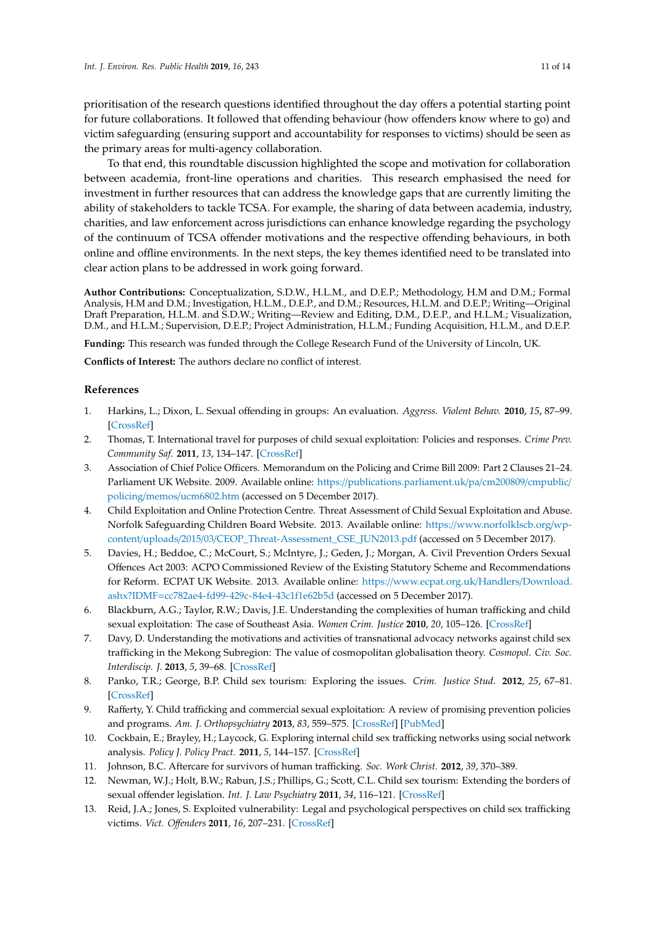prioritisation of the research questions identified throughout the day offers a potential starting point for future collaborations. It followed that offending behaviour (how offenders know where to go) and victim safeguarding (ensuring support and accountability for responses to victims) should be seen as the primary areas for multi-agency collaboration.

To that end, this roundtable discussion highlighted the scope and motivation for collaboration between academia, front-line operations and charities. This research emphasised the need for investment in further resources that can address the knowledge gaps that are currently limiting the ability of stakeholders to tackle TCSA. For example, the sharing of data between academia, industry, charities, and law enforcement across jurisdictions can enhance knowledge regarding the psychology of the continuum of TCSA offender motivations and the respective offending behaviours, in both online and offline environments. In the next steps, the key themes identified need to be translated into clear action plans to be addressed in work going forward.

**Author Contributions:** Conceptualization, S.D.W., H.L.M., and D.E.P.; Methodology, H.M and D.M.; Formal Analysis, H.M and D.M.; Investigation, H.L.M., D.E.P., and D.M.; Resources, H.L.M. and D.E.P.; Writing—Original Draft Preparation, H.L.M. and S.D.W.; Writing—Review and Editing, D.M., D.E.P., and H.L.M.; Visualization, D.M., and H.L.M.; Supervision, D.E.P.; Project Administration, H.L.M.; Funding Acquisition, H.L.M., and D.E.P.

**Funding:** This research was funded through the College Research Fund of the University of Lincoln, UK.

**Conflicts of Interest:** The authors declare no conflict of interest.

## **References**

- <span id="page-10-0"></span>1. Harkins, L.; Dixon, L. Sexual offending in groups: An evaluation. *Aggress. Violent Behav.* **2010**, *15*, 87–99. [\[CrossRef\]](http://dx.doi.org/10.1016/j.avb.2009.08.006)
- <span id="page-10-1"></span>2. Thomas, T. International travel for purposes of child sexual exploitation: Policies and responses. *Crime Prev. Community Saf.* **2011**, *13*, 134–147. [\[CrossRef\]](http://dx.doi.org/10.1057/cpcs.2010.23)
- <span id="page-10-2"></span>3. Association of Chief Police Officers. Memorandum on the Policing and Crime Bill 2009: Part 2 Clauses 21–24. Parliament UK Website. 2009. Available online: https://[publications.parliament.uk](https://publications.parliament.uk/pa/cm200809/cmpublic/policing/memos/ucm6802.htm)/pa/cm200809/cmpublic/ policing/memos/[ucm6802.htm](https://publications.parliament.uk/pa/cm200809/cmpublic/policing/memos/ucm6802.htm) (accessed on 5 December 2017).
- <span id="page-10-3"></span>4. Child Exploitation and Online Protection Centre. Threat Assessment of Child Sexual Exploitation and Abuse. Norfolk Safeguarding Children Board Website. 2013. Available online: https://[www.norfolklscb.org](https://www.norfolklscb.org/wp-content/uploads/2015/03/CEOP_Threat-Assessment_CSE_JUN2013.pdf)/wpcontent/uploads/2015/03/[CEOP\\_Threat-Assessment\\_CSE\\_JUN2013.pdf](https://www.norfolklscb.org/wp-content/uploads/2015/03/CEOP_Threat-Assessment_CSE_JUN2013.pdf) (accessed on 5 December 2017).
- <span id="page-10-4"></span>5. Davies, H.; Beddoe, C.; McCourt, S.; McIntyre, J.; Geden, J.; Morgan, A. Civil Prevention Orders Sexual Offences Act 2003: ACPO Commissioned Review of the Existing Statutory Scheme and Recommendations for Reform. ECPAT UK Website. 2013. Available online: https://[www.ecpat.org.uk](https://www.ecpat.org.uk/Handlers/Download.ashx?IDMF=cc782ae4-fd99-429c-84e4-43c1f1e62b5d)/Handlers/Download. ashx?IDMF=[cc782ae4-fd99-429c-84e4-43c1f1e62b5d](https://www.ecpat.org.uk/Handlers/Download.ashx?IDMF=cc782ae4-fd99-429c-84e4-43c1f1e62b5d) (accessed on 5 December 2017).
- <span id="page-10-5"></span>6. Blackburn, A.G.; Taylor, R.W.; Davis, J.E. Understanding the complexities of human trafficking and child sexual exploitation: The case of Southeast Asia. *Women Crim. Justice* **2010**, *20*, 105–126. [\[CrossRef\]](http://dx.doi.org/10.1080/08974451003641099)
- 7. Davy, D. Understanding the motivations and activities of transnational advocacy networks against child sex trafficking in the Mekong Subregion: The value of cosmopolitan globalisation theory. *Cosmopol. Civ. Soc. Interdiscip. J.* **2013**, *5*, 39–68. [\[CrossRef\]](http://dx.doi.org/10.5130/ccs.v5i1.2673)
- <span id="page-10-8"></span>8. Panko, T.R.; George, B.P. Child sex tourism: Exploring the issues. *Crim. Justice Stud.* **2012**, *25*, 67–81. [\[CrossRef\]](http://dx.doi.org/10.1080/1478601X.2012.657904)
- <span id="page-10-6"></span>9. Rafferty, Y. Child trafficking and commercial sexual exploitation: A review of promising prevention policies and programs. *Am. J. Orthopsychiatry* **2013**, *83*, 559–575. [\[CrossRef\]](http://dx.doi.org/10.1111/ajop.12056) [\[PubMed\]](http://www.ncbi.nlm.nih.gov/pubmed/24164528)
- <span id="page-10-7"></span>10. Cockbain, E.; Brayley, H.; Laycock, G. Exploring internal child sex trafficking networks using social network analysis. *Policy J. Policy Pract.* **2011**, *5*, 144–157. [\[CrossRef\]](http://dx.doi.org/10.1093/police/par025)
- 11. Johnson, B.C. Aftercare for survivors of human trafficking. *Soc. Work Christ.* **2012**, *39*, 370–389.
- 12. Newman, W.J.; Holt, B.W.; Rabun, J.S.; Phillips, G.; Scott, C.L. Child sex tourism: Extending the borders of sexual offender legislation. *Int. J. Law Psychiatry* **2011**, *34*, 116–121. [\[CrossRef\]](http://dx.doi.org/10.1016/j.ijlp.2011.02.005)
- 13. Reid, J.A.; Jones, S. Exploited vulnerability: Legal and psychological perspectives on child sex trafficking victims. *Vict. O*ff*enders* **2011**, *16*, 207–231. [\[CrossRef\]](http://dx.doi.org/10.1080/15564886.2011.557327)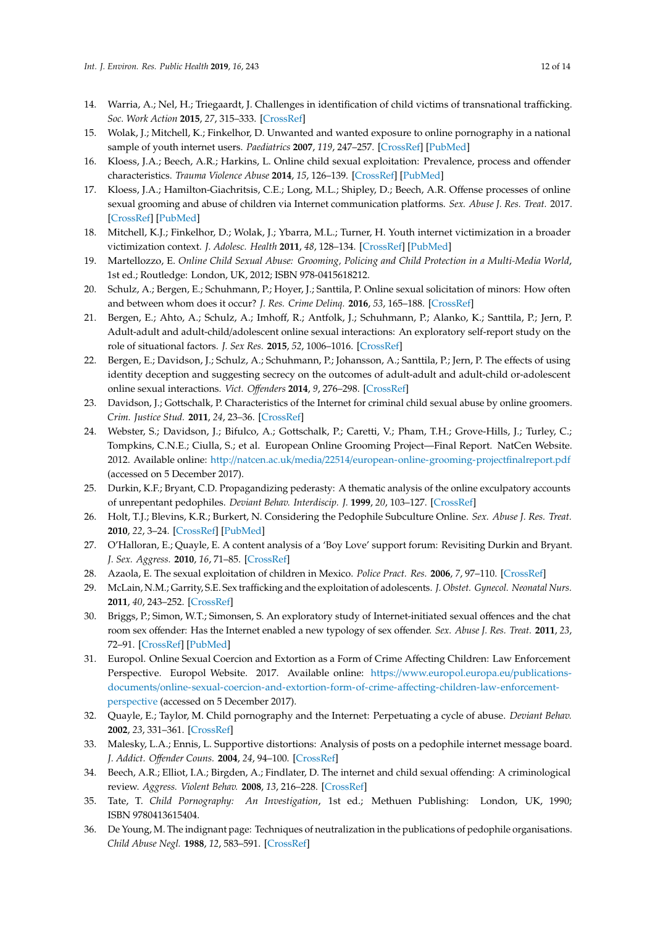- <span id="page-11-0"></span>14. Warria, A.; Nel, H.; Triegaardt, J. Challenges in identification of child victims of transnational trafficking. *Soc. Work Action* **2015**, *27*, 315–333. [\[CrossRef\]](http://dx.doi.org/10.1080/09503153.2015.1039974)
- <span id="page-11-1"></span>15. Wolak, J.; Mitchell, K.; Finkelhor, D. Unwanted and wanted exposure to online pornography in a national sample of youth internet users. *Paediatrics* **2007**, *119*, 247–257. [\[CrossRef\]](http://dx.doi.org/10.1542/peds.2006-1891) [\[PubMed\]](http://www.ncbi.nlm.nih.gov/pubmed/17272613)
- <span id="page-11-2"></span>16. Kloess, J.A.; Beech, A.R.; Harkins, L. Online child sexual exploitation: Prevalence, process and offender characteristics. *Trauma Violence Abuse* **2014**, *15*, 126–139. [\[CrossRef\]](http://dx.doi.org/10.1177/1524838013511543) [\[PubMed\]](http://www.ncbi.nlm.nih.gov/pubmed/24608540)
- <span id="page-11-22"></span>17. Kloess, J.A.; Hamilton-Giachritsis, C.E.; Long, M.L.; Shipley, D.; Beech, A.R. Offense processes of online sexual grooming and abuse of children via Internet communication platforms. *Sex. Abuse J. Res. Treat.* 2017. [\[CrossRef\]](http://dx.doi.org/10.1177/1079063217720927) [\[PubMed\]](http://www.ncbi.nlm.nih.gov/pubmed/28715937)
- <span id="page-11-3"></span>18. Mitchell, K.J.; Finkelhor, D.; Wolak, J.; Ybarra, M.L.; Turner, H. Youth internet victimization in a broader victimization context. *J. Adolesc. Health* **2011**, *48*, 128–134. [\[CrossRef\]](http://dx.doi.org/10.1016/j.jadohealth.2010.06.009) [\[PubMed\]](http://www.ncbi.nlm.nih.gov/pubmed/21257110)
- <span id="page-11-4"></span>19. Martellozzo, E. *Online Child Sexual Abuse: Grooming, Policing and Child Protection in a Multi-Media World*, 1st ed.; Routledge: London, UK, 2012; ISBN 978-0415618212.
- <span id="page-11-5"></span>20. Schulz, A.; Bergen, E.; Schuhmann, P.; Hoyer, J.; Santtila, P. Online sexual solicitation of minors: How often and between whom does it occur? *J. Res. Crime Delinq.* **2016**, *53*, 165–188. [\[CrossRef\]](http://dx.doi.org/10.1177/0022427815599426)
- <span id="page-11-6"></span>21. Bergen, E.; Ahto, A.; Schulz, A.; Imhoff, R.; Antfolk, J.; Schuhmann, P.; Alanko, K.; Santtila, P.; Jern, P. Adult-adult and adult-child/adolescent online sexual interactions: An exploratory self-report study on the role of situational factors. *J. Sex Res.* **2015**, *52*, 1006–1016. [\[CrossRef\]](http://dx.doi.org/10.1080/00224499.2014.914462)
- <span id="page-11-7"></span>22. Bergen, E.; Davidson, J.; Schulz, A.; Schuhmann, P.; Johansson, A.; Santtila, P.; Jern, P. The effects of using identity deception and suggesting secrecy on the outcomes of adult-adult and adult-child or-adolescent online sexual interactions. *Vict. O*ff*enders* **2014**, *9*, 276–298. [\[CrossRef\]](http://dx.doi.org/10.1080/15564886.2013.873750)
- <span id="page-11-8"></span>23. Davidson, J.; Gottschalk, P. Characteristics of the Internet for criminal child sexual abuse by online groomers. *Crim. Justice Stud.* **2011**, *24*, 23–36. [\[CrossRef\]](http://dx.doi.org/10.1080/1478601X.2011.544188)
- <span id="page-11-9"></span>24. Webster, S.; Davidson, J.; Bifulco, A.; Gottschalk, P.; Caretti, V.; Pham, T.H.; Grove-Hills, J.; Turley, C.; Tompkins, C.N.E.; Ciulla, S.; et al. European Online Grooming Project—Final Report. NatCen Website. 2012. Available online: http://natcen.ac.uk/media/22514/[european-online-grooming-projectfinalreport.pdf](http://natcen.ac.uk/media/22514/european-online-grooming-projectfinalreport.pdf) (accessed on 5 December 2017).
- <span id="page-11-10"></span>25. Durkin, K.F.; Bryant, C.D. Propagandizing pederasty: A thematic analysis of the online exculpatory accounts of unrepentant pedophiles. *Deviant Behav. Interdiscip. J.* **1999**, *20*, 103–127. [\[CrossRef\]](http://dx.doi.org/10.1080/016396299266524)
- <span id="page-11-20"></span>26. Holt, T.J.; Blevins, K.R.; Burkert, N. Considering the Pedophile Subculture Online. *Sex. Abuse J. Res. Treat.* **2010**, *22*, 3–24. [\[CrossRef\]](http://dx.doi.org/10.1177/1079063209344979) [\[PubMed\]](http://www.ncbi.nlm.nih.gov/pubmed/20133959)
- <span id="page-11-11"></span>27. O'Halloran, E.; Quayle, E. A content analysis of a 'Boy Love' support forum: Revisiting Durkin and Bryant. *J. Sex. Aggress.* **2010**, *16*, 71–85. [\[CrossRef\]](http://dx.doi.org/10.1080/13552600903395319)
- <span id="page-11-12"></span>28. Azaola, E. The sexual exploitation of children in Mexico. *Police Pract. Res.* **2006**, *7*, 97–110. [\[CrossRef\]](http://dx.doi.org/10.1080/15614260600676742)
- <span id="page-11-13"></span>29. McLain, N.M.; Garrity, S.E. Sex trafficking and the exploitation of adolescents. *J. Obstet. Gynecol. Neonatal Nurs.* **2011**, *40*, 243–252. [\[CrossRef\]](http://dx.doi.org/10.1111/j.1552-6909.2011.01221.x)
- <span id="page-11-14"></span>30. Briggs, P.; Simon, W.T.; Simonsen, S. An exploratory study of Internet-initiated sexual offences and the chat room sex offender: Has the Internet enabled a new typology of sex offender. *Sex. Abuse J. Res. Treat.* **2011**, *23*, 72–91. [\[CrossRef\]](http://dx.doi.org/10.1177/1079063210384275) [\[PubMed\]](http://www.ncbi.nlm.nih.gov/pubmed/20947699)
- <span id="page-11-15"></span>31. Europol. Online Sexual Coercion and Extortion as a Form of Crime Affecting Children: Law Enforcement Perspective. Europol Website. 2017. Available online: https://[www.europol.europa.eu](https://www.europol.europa.eu/publications-documents/online-sexual-coercion-and-extortion-form-of-crime-affecting-children-law-enforcement-perspective)/publicationsdocuments/[online-sexual-coercion-and-extortion-form-of-crime-a](https://www.europol.europa.eu/publications-documents/online-sexual-coercion-and-extortion-form-of-crime-affecting-children-law-enforcement-perspective)ffecting-children-law-enforcement[perspective](https://www.europol.europa.eu/publications-documents/online-sexual-coercion-and-extortion-form-of-crime-affecting-children-law-enforcement-perspective) (accessed on 5 December 2017).
- <span id="page-11-16"></span>32. Quayle, E.; Taylor, M. Child pornography and the Internet: Perpetuating a cycle of abuse. *Deviant Behav.* **2002**, *23*, 331–361. [\[CrossRef\]](http://dx.doi.org/10.1080/01639620290086413)
- <span id="page-11-17"></span>33. Malesky, L.A.; Ennis, L. Supportive distortions: Analysis of posts on a pedophile internet message board. *J. Addict. O*ff*ender Couns.* **2004**, *24*, 94–100. [\[CrossRef\]](http://dx.doi.org/10.1002/j.2161-1874.2004.tb00185.x)
- <span id="page-11-18"></span>34. Beech, A.R.; Elliot, I.A.; Birgden, A.; Findlater, D. The internet and child sexual offending: A criminological review. *Aggress. Violent Behav.* **2008**, *13*, 216–228. [\[CrossRef\]](http://dx.doi.org/10.1016/j.avb.2008.03.007)
- <span id="page-11-19"></span>35. Tate, T. *Child Pornography: An Investigation*, 1st ed.; Methuen Publishing: London, UK, 1990; ISBN 9780413615404.
- <span id="page-11-21"></span>36. De Young, M. The indignant page: Techniques of neutralization in the publications of pedophile organisations. *Child Abuse Negl.* **1988**, *12*, 583–591. [\[CrossRef\]](http://dx.doi.org/10.1016/0145-2134(88)90076-2)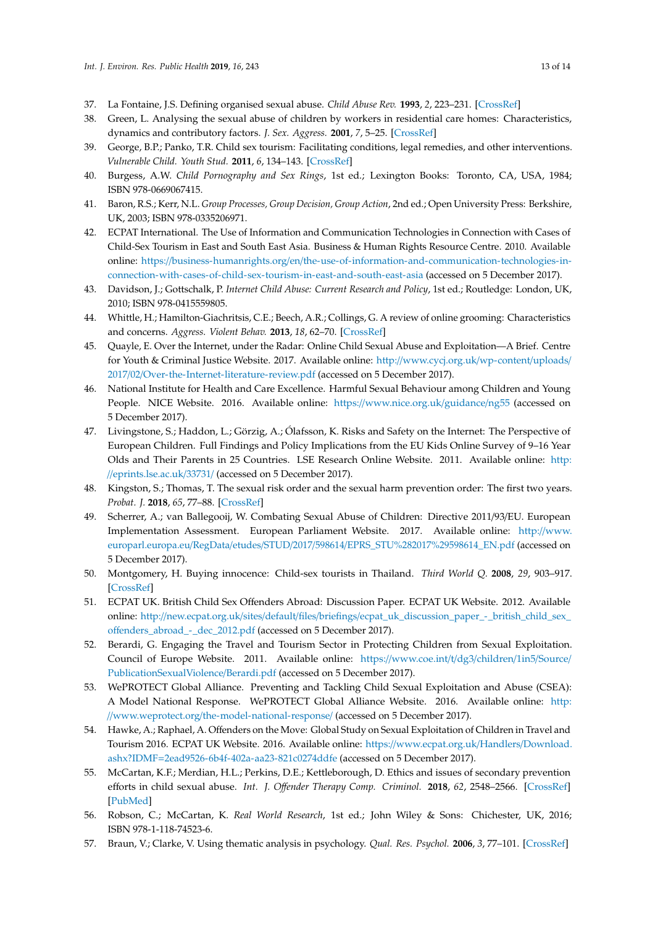- <span id="page-12-0"></span>37. La Fontaine, J.S. Defining organised sexual abuse. *Child Abuse Rev.* **1993**, *2*, 223–231. [\[CrossRef\]](http://dx.doi.org/10.1002/car.2380020404)
- <span id="page-12-1"></span>38. Green, L. Analysing the sexual abuse of children by workers in residential care homes: Characteristics, dynamics and contributory factors. *J. Sex. Aggress.* **2001**, *7*, 5–25. [\[CrossRef\]](http://dx.doi.org/10.1080/13552600108416164)
- <span id="page-12-2"></span>39. George, B.P.; Panko, T.R. Child sex tourism: Facilitating conditions, legal remedies, and other interventions. *Vulnerable Child. Youth Stud.* **2011**, *6*, 134–143. [\[CrossRef\]](http://dx.doi.org/10.1080/17450128.2010.521599)
- <span id="page-12-3"></span>40. Burgess, A.W. *Child Pornography and Sex Rings*, 1st ed.; Lexington Books: Toronto, CA, USA, 1984; ISBN 978-0669067415.
- <span id="page-12-4"></span>41. Baron, R.S.; Kerr, N.L. *Group Processes, Group Decision, Group Action*, 2nd ed.; Open University Press: Berkshire, UK, 2003; ISBN 978-0335206971.
- <span id="page-12-5"></span>42. ECPAT International. The Use of Information and Communication Technologies in Connection with Cases of Child-Sex Tourism in East and South East Asia. Business & Human Rights Resource Centre. 2010. Available online: https://business-humanrights.org/en/[the-use-of-information-and-communication-technologies-in](https://business-humanrights.org/en/the-use-of-information-and-communication-technologies-in-connection-with-cases-of-child-sex-tourism-in-east-and-south-east-asia)[connection-with-cases-of-child-sex-tourism-in-east-and-south-east-asia](https://business-humanrights.org/en/the-use-of-information-and-communication-technologies-in-connection-with-cases-of-child-sex-tourism-in-east-and-south-east-asia) (accessed on 5 December 2017).
- <span id="page-12-6"></span>43. Davidson, J.; Gottschalk, P. *Internet Child Abuse: Current Research and Policy*, 1st ed.; Routledge: London, UK, 2010; ISBN 978-0415559805.
- <span id="page-12-7"></span>44. Whittle, H.; Hamilton-Giachritsis, C.E.; Beech, A.R.; Collings, G. A review of online grooming: Characteristics and concerns. *Aggress. Violent Behav.* **2013**, *18*, 62–70. [\[CrossRef\]](http://dx.doi.org/10.1016/j.avb.2012.09.003)
- <span id="page-12-8"></span>45. Quayle, E. Over the Internet, under the Radar: Online Child Sexual Abuse and Exploitation—A Brief. Centre for Youth & Criminal Justice Website. 2017. Available online: http://[www.cycj.org.uk](http://www.cycj.org.uk/wp-content/uploads/2017/02/Over-the-Internet-literature-review.pdf)/wp-content/uploads/ 2017/02/[Over-the-Internet-literature-review.pdf](http://www.cycj.org.uk/wp-content/uploads/2017/02/Over-the-Internet-literature-review.pdf) (accessed on 5 December 2017).
- <span id="page-12-9"></span>46. National Institute for Health and Care Excellence. Harmful Sexual Behaviour among Children and Young People. NICE Website. 2016. Available online: https://[www.nice.org.uk](https://www.nice.org.uk/guidance/ng55)/guidance/ng55 (accessed on 5 December 2017).
- <span id="page-12-10"></span>47. Livingstone, S.; Haddon, L.; Görzig, A.; Ólafsson, K. Risks and Safety on the Internet: The Perspective of European Children. Full Findings and Policy Implications from the EU Kids Online Survey of 9–16 Year Olds and Their Parents in 25 Countries. LSE Research Online Website. 2011. Available online: [http:](http://eprints.lse.ac.uk/33731/) //[eprints.lse.ac.uk](http://eprints.lse.ac.uk/33731/)/33731/ (accessed on 5 December 2017).
- <span id="page-12-11"></span>48. Kingston, S.; Thomas, T. The sexual risk order and the sexual harm prevention order: The first two years. *Probat. J.* **2018**, *65*, 77–88. [\[CrossRef\]](http://dx.doi.org/10.1177/0264550517748359)
- <span id="page-12-12"></span>49. Scherrer, A.; van Ballegooij, W. Combating Sexual Abuse of Children: Directive 2011/93/EU. European Implementation Assessment. European Parliament Website. 2017. Available online: http://[www.](http://www.europarl.europa.eu/RegData/etudes/STUD/2017/598614/EPRS_STU%282017%29598614_EN.pdf) europarl.europa.eu/RegData/etudes/STUD/2017/598614/[EPRS\\_STU%282017%29598614\\_EN.pdf](http://www.europarl.europa.eu/RegData/etudes/STUD/2017/598614/EPRS_STU%282017%29598614_EN.pdf) (accessed on 5 December 2017).
- <span id="page-12-13"></span>50. Montgomery, H. Buying innocence: Child-sex tourists in Thailand. *Third World Q.* **2008**, *29*, 903–917. [\[CrossRef\]](http://dx.doi.org/10.1080/01436590802106023)
- <span id="page-12-14"></span>51. ECPAT UK. British Child Sex Offenders Abroad: Discussion Paper. ECPAT UK Website. 2012. Available online: http://new.ecpat.org.uk/sites/default/files/briefings/[ecpat\\_uk\\_discussion\\_paper\\_-\\_british\\_child\\_sex\\_](http://new.ecpat.org.uk/sites/default/files/briefings/ecpat_uk_discussion_paper_-_british_child_sex_offenders_abroad_-_dec_2012.pdf) off[enders\\_abroad\\_-\\_dec\\_2012.pdf](http://new.ecpat.org.uk/sites/default/files/briefings/ecpat_uk_discussion_paper_-_british_child_sex_offenders_abroad_-_dec_2012.pdf) (accessed on 5 December 2017).
- <span id="page-12-15"></span>52. Berardi, G. Engaging the Travel and Tourism Sector in Protecting Children from Sexual Exploitation. Council of Europe Website. 2011. Available online: https://[www.coe.int](https://www.coe.int/t/dg3/children/1in5/Source/PublicationSexualViolence/Berardi.pdf)/t/dg3/children/1in5/Source/ [PublicationSexualViolence](https://www.coe.int/t/dg3/children/1in5/Source/PublicationSexualViolence/Berardi.pdf)/Berardi.pdf (accessed on 5 December 2017).
- <span id="page-12-16"></span>53. WePROTECT Global Alliance. Preventing and Tackling Child Sexual Exploitation and Abuse (CSEA): A Model National Response. WePROTECT Global Alliance Website. 2016. Available online: [http:](http://www.weprotect.org/the-model-national-response/) //www.weprotect.org/[the-model-national-response](http://www.weprotect.org/the-model-national-response/)/ (accessed on 5 December 2017).
- <span id="page-12-17"></span>54. Hawke, A.; Raphael, A. Offenders on the Move: Global Study on Sexual Exploitation of Children in Travel and Tourism 2016. ECPAT UK Website. 2016. Available online: https://[www.ecpat.org.uk](https://www.ecpat.org.uk/Handlers/Download.ashx?IDMF=2ead9526-6b4f-402a-aa23-821c0274ddfe)/Handlers/Download. ashx?IDMF=[2ead9526-6b4f-402a-aa23-821c0274ddfe](https://www.ecpat.org.uk/Handlers/Download.ashx?IDMF=2ead9526-6b4f-402a-aa23-821c0274ddfe) (accessed on 5 December 2017).
- <span id="page-12-18"></span>55. McCartan, K.F.; Merdian, H.L.; Perkins, D.E.; Kettleborough, D. Ethics and issues of secondary prevention efforts in child sexual abuse. *Int. J. O*ff*ender Therapy Comp. Criminol.* **2018**, *62*, 2548–2566. [\[CrossRef\]](http://dx.doi.org/10.1177/0306624X17723951) [\[PubMed\]](http://www.ncbi.nlm.nih.gov/pubmed/28831841)
- <span id="page-12-19"></span>56. Robson, C.; McCartan, K. *Real World Research*, 1st ed.; John Wiley & Sons: Chichester, UK, 2016; ISBN 978-1-118-74523-6.
- <span id="page-12-20"></span>57. Braun, V.; Clarke, V. Using thematic analysis in psychology. *Qual. Res. Psychol.* **2006**, *3*, 77–101. [\[CrossRef\]](http://dx.doi.org/10.1191/1478088706qp063oa)